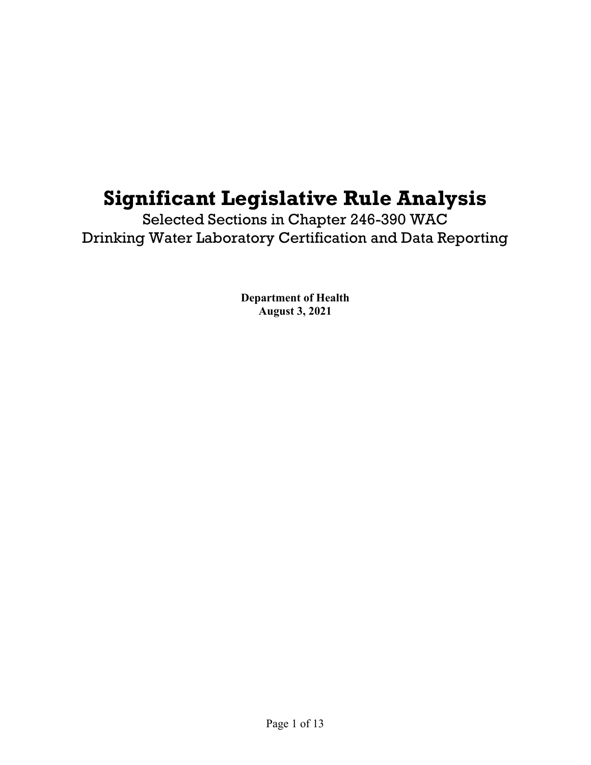# **Significant Legislative Rule Analysis**

Selected Sections in Chapter 246-390 WAC Drinking Water Laboratory Certification and Data Reporting

> **Department of Health August 3, 2021**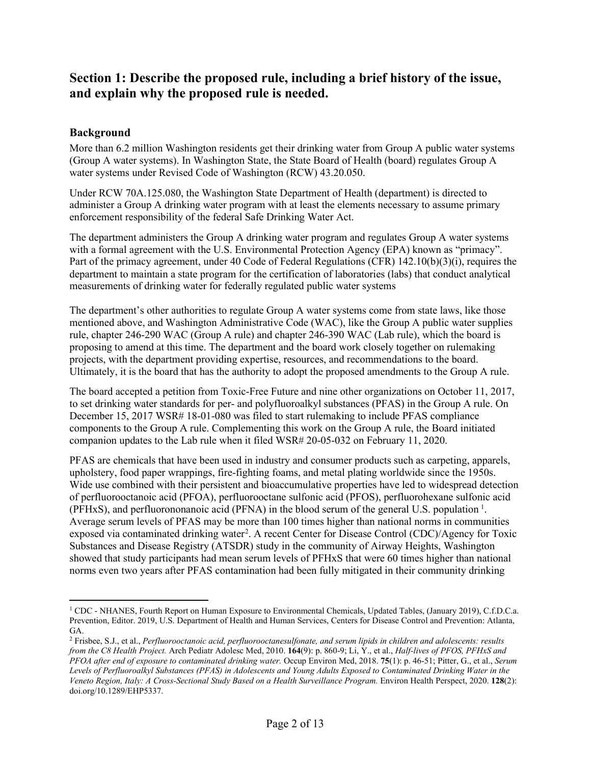## **Section 1: Describe the proposed rule, including a brief history of the issue, and explain why the proposed rule is needed.**

## **Background**

More than 6.2 million Washington residents get their drinking water from Group A public water systems (Group A water systems). In Washington State, the State Board of Health (board) regulates Group A water systems under Revised Code of Washington (RCW) 43.20.050.

Under RCW 70A.125.080, the Washington State Department of Health (department) is directed to administer a Group A drinking water program with at least the elements necessary to assume primary enforcement responsibility of the federal Safe Drinking Water Act.

The department administers the Group A drinking water program and regulates Group A water systems with a formal agreement with the U.S. Environmental Protection Agency (EPA) known as "primacy". Part of the primacy agreement, under 40 Code of Federal Regulations (CFR) 142.10(b)(3)(i), requires the department to maintain a state program for the certification of laboratories (labs) that conduct analytical measurements of drinking water for federally regulated public water systems

The department's other authorities to regulate Group A water systems come from state laws, like those mentioned above, and Washington Administrative Code (WAC), like the Group A public water supplies rule, chapter 246-290 WAC (Group A rule) and chapter 246-390 WAC (Lab rule), which the board is proposing to amend at this time. The department and the board work closely together on rulemaking projects, with the department providing expertise, resources, and recommendations to the board. Ultimately, it is the board that has the authority to adopt the proposed amendments to the Group A rule.

The board accepted a petition from Toxic-Free Future and nine other organizations on October 11, 2017, to set drinking water standards for per- and polyfluoroalkyl substances (PFAS) in the Group A rule. On December 15, 2017 WSR# 18-01-080 was filed to start rulemaking to include PFAS compliance components to the Group A rule. Complementing this work on the Group A rule, the Board initiated companion updates to the Lab rule when it filed WSR# 20-05-032 on February 11, 2020.

PFAS are chemicals that have been used in industry and consumer products such as carpeting, apparels, upholstery, food paper wrappings, fire-fighting foams, and metal plating worldwide since the 1950s. Wide use combined with their persistent and bioaccumulative properties have led to widespread detection of perfluorooctanoic acid (PFOA), perfluorooctane sulfonic acid (PFOS), perfluorohexane sulfonic acid (PFHxS), and perfluorononanoic acid (PFNA) in the blood serum of the general U.S. population  $<sup>1</sup>$  $<sup>1</sup>$  $<sup>1</sup>$ .</sup> Average serum levels of PFAS may be more than 100 times higher than national norms in communities exposed via contaminated drinking water<sup>[2](#page-1-1)</sup>. A recent Center for Disease Control (CDC)/Agency for Toxic Substances and Disease Registry (ATSDR) study in the community of Airway Heights, Washington showed that study participants had mean serum levels of PFHxS that were 60 times higher than national norms even two years after PFAS contamination had been fully mitigated in their community drinking

<span id="page-1-0"></span><sup>1</sup> CDC - NHANES, Fourth Report on Human Exposure to Environmental Chemicals, Updated Tables, (January 2019), C.f.D.C.a. Prevention, Editor. 2019, U.S. Department of Health and Human Services, Centers for Disease Control and Prevention: Atlanta, GA.

<span id="page-1-1"></span><sup>2</sup> Frisbee, S.J., et al., *Perfluorooctanoic acid, perfluorooctanesulfonate, and serum lipids in children and adolescents: results from the C8 Health Project.* Arch Pediatr Adolesc Med, 2010. **164**(9): p. 860-9; Li, Y., et al., *Half-lives of PFOS, PFHxS and PFOA after end of exposure to contaminated drinking water.* Occup Environ Med, 2018. **75**(1): p. 46-51; Pitter, G., et al., *Serum Levels of Perfluoroalkyl Substances (PFAS) in Adolescents and Young Adults Exposed to Contaminated Drinking Water in the Veneto Region, Italy: A Cross-Sectional Study Based on a Health Surveillance Program.* Environ Health Perspect, 2020. **128**(2): doi.org/10.1289/EHP5337.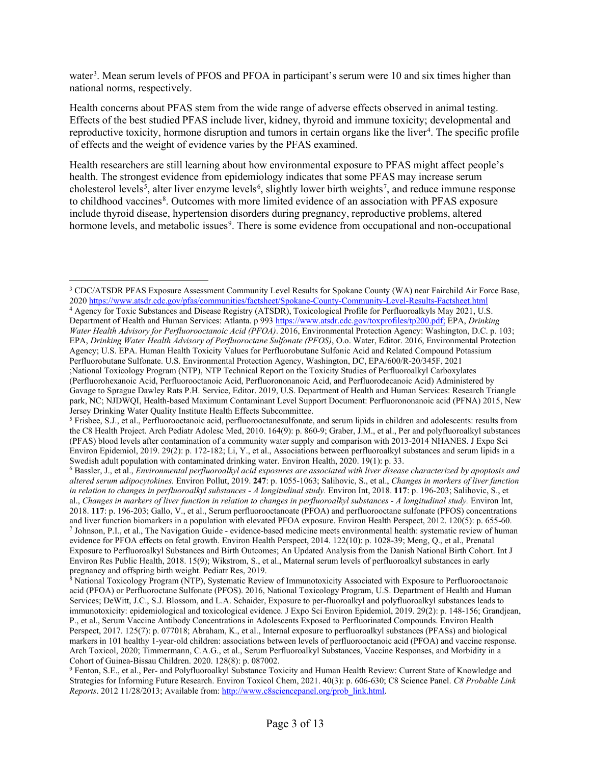water<sup>[3](#page-2-0)</sup>. Mean serum levels of PFOS and PFOA in participant's serum were 10 and six times higher than national norms, respectively.

Health concerns about PFAS stem from the wide range of adverse effects observed in animal testing. Effects of the best studied PFAS include liver, kidney, thyroid and immune toxicity; developmental and reproductive toxicity, hormone disruption and tumors in certain organs like the liver<sup>[4](#page-2-1)</sup>. The specific profile of effects and the weight of evidence varies by the PFAS examined.

Health researchers are still learning about how environmental exposure to PFAS might affect people's health. The strongest evidence from epidemiology indicates that some PFAS may increase serum cholesterol levels<sup>[5](#page-2-2)</sup>, alter liver enzyme levels<sup>[6](#page-2-3)</sup>, slightly lower birth weights<sup>[7](#page-2-4)</sup>, and reduce immune response to childhood vaccines<sup>[8](#page-2-5)</sup>. Outcomes with more limited evidence of an association with PFAS exposure include thyroid disease, hypertension disorders during pregnancy, reproductive problems, altered hormone levels, and metabolic issues<sup>[9](#page-2-6)</sup>. There is some evidence from occupational and non-occupational

<span id="page-2-0"></span><sup>3</sup> CDC/ATSDR PFAS Exposure Assessment Community Level Results for Spokane County (WA) near Fairchild Air Force Base, 202[0 https://www.atsdr.cdc.gov/pfas/communities/factsheet/Spokane-County-Community-Level-Results-Factsheet.html](https://www.atsdr.cdc.gov/pfas/communities/factsheet/Spokane-County-Community-Level-Results-Factsheet.html)

<span id="page-2-1"></span><sup>4</sup> Agency for Toxic Substances and Disease Registry (ATSDR), Toxicological Profile for Perfluoroalkyls May 2021, U.S. Department of Health and Human Services: Atlanta. p 99[3 https://www.atsdr.cdc.gov/toxprofiles/tp200.pdf;](https://www.atsdr.cdc.gov/toxprofiles/tp200.pdf;) EPA, *Drinking Water Health Advisory for Perfluorooctanoic Acid (PFOA)*. 2016, Environmental Protection Agency: Washington, D.C. p. 103; EPA, *Drinking Water Health Advisory of Perfluoroctane Sulfonate (PFOS)*, O.o. Water, Editor. 2016, Environmental Protection Agency; U.S. EPA. Human Health Toxicity Values for Perfluorobutane Sulfonic Acid and Related Compound Potassium Perfluorobutane Sulfonate. U.S. Environmental Protection Agency, Washington, DC, EPA/600/R-20/345F, 2021 ;National Toxicology Program (NTP), NTP Technical Report on the Toxicity Studies of Perfluoroalkyl Carboxylates (Perfluorohexanoic Acid, Perfluorooctanoic Acid, Perfluorononanoic Acid, and Perfluorodecanoic Acid) Administered by Gavage to Sprague Dawley Rats P.H. Service, Editor. 2019, U.S. Department of Health and Human Services: Research Triangle park, NC; NJDWQI, Health-based Maximum Contaminant Level Support Document: Perfluorononanoic acid (PFNA) 2015, New Jersey Drinking Water Quality Institute Health Effects Subcommittee.

<span id="page-2-2"></span><sup>5</sup> Frisbee, S.J., et al., Perfluorooctanoic acid, perfluorooctanesulfonate, and serum lipids in children and adolescents: results from the C8 Health Project. Arch Pediatr Adolesc Med, 2010. 164(9): p. 860-9; Graber, J.M., et al., Per and polyfluoroalkyl substances (PFAS) blood levels after contamination of a community water supply and comparison with 2013-2014 NHANES. J Expo Sci Environ Epidemiol, 2019. 29(2): p. 172-182; Li, Y., et al., Associations between perfluoroalkyl substances and serum lipids in a Swedish adult population with contaminated drinking water. Environ Health, 2020. 19(1): p. 33.

<span id="page-2-3"></span><sup>6</sup> Bassler, J., et al., *Environmental perfluoroalkyl acid exposures are associated with liver disease characterized by apoptosis and altered serum adipocytokines.* Environ Pollut, 2019. **247**: p. 1055-1063; Salihovic, S., et al., *Changes in markers of liver function in relation to changes in perfluoroalkyl substances - A longitudinal study.* Environ Int, 2018. **117**: p. 196-203; Salihovic, S., et al., *Changes in markers of liver function in relation to changes in perfluoroalkyl substances - A longitudinal study.* Environ Int, 2018. **117**: p. 196-203; Gallo, V., et al., Serum perfluorooctanoate (PFOA) and perfluorooctane sulfonate (PFOS) concentrations and liver function biomarkers in a population with elevated PFOA exposure. Environ Health Perspect, 2012. 120(5): p. 655-60. <sup>7</sup> Johnson, P.I., et al., The Navigation Guide - evidence-based medicine meets environmental health: systematic review of human evidence for PFOA effects on fetal growth. Environ Health Perspect, 2014. 122(10): p. 1028-39; Meng, Q., et al., Prenatal Exposure to Perfluoroalkyl Substances and Birth Outcomes; An Updated Analysis from the Danish National Birth Cohort. Int J Environ Res Public Health, 2018. 15(9); Wikstrom, S., et al., Maternal serum levels of perfluoroalkyl substances in early pregnancy and offspring birth weight. Pediatr Res, 2019.

<span id="page-2-5"></span><span id="page-2-4"></span><sup>&</sup>lt;sup>8</sup> National Toxicology Program (NTP), Systematic Review of Immunotoxicity Associated with Exposure to Perfluorooctanoic acid (PFOA) or Perfluoroctane Sulfonate (PFOS). 2016, National Toxicology Program, U.S. Department of Health and Human Services; DeWitt, J.C., S.J. Blossom, and L.A. Schaider, Exposure to per-fluoroalkyl and polyfluoroalkyl substances leads to immunotoxicity: epidemiological and toxicological evidence. J Expo Sci Environ Epidemiol, 2019. 29(2): p. 148-156; Grandjean, P., et al., Serum Vaccine Antibody Concentrations in Adolescents Exposed to Perfluorinated Compounds. Environ Health Perspect, 2017. 125(7): p. 077018; Abraham, K., et al., Internal exposure to perfluoroalkyl substances (PFASs) and biological markers in 101 healthy 1-year-old children: associations between levels of perfluorooctanoic acid (PFOA) and vaccine response. Arch Toxicol, 2020; Timmermann, C.A.G., et al., Serum Perfluoroalkyl Substances, Vaccine Responses, and Morbidity in a Cohort of Guinea-Bissau Children. 2020. 128(8): p. 087002.

<span id="page-2-6"></span><sup>9</sup> Fenton, S.E., et al., Per- and Polyfluoroalkyl Substance Toxicity and Human Health Review: Current State of Knowledge and Strategies for Informing Future Research. Environ Toxicol Chem, 2021. 40(3): p. 606-630; C8 Science Panel. *C8 Probable Link Reports*. 2012 11/28/2013; Available from: [http://www.c8sciencepanel.org/prob\\_link.html.](http://www.c8sciencepanel.org/prob_link.html)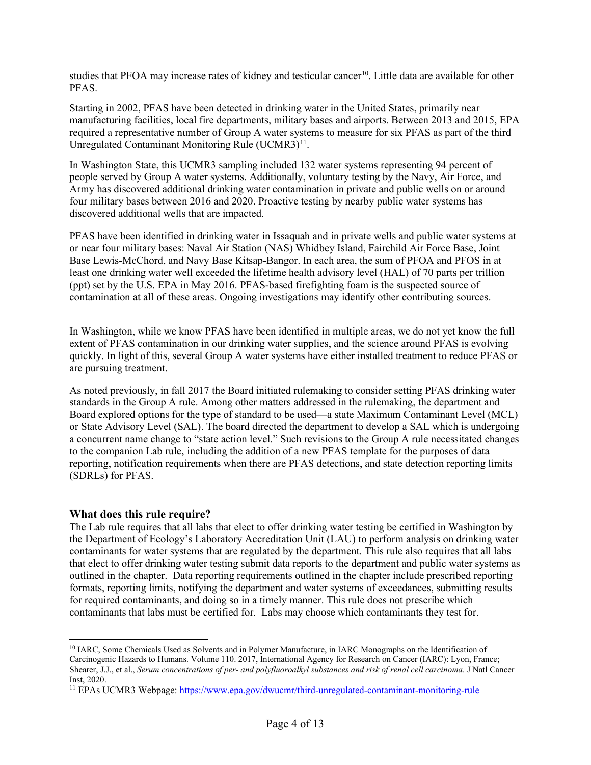studies that PFOA may increase rates of kidney and testicular cancer<sup>10</sup>. Little data are available for other PFAS.

Starting in 2002, PFAS have been detected in drinking water in the United States, primarily near manufacturing facilities, local fire departments, military bases and airports. Between 2013 and 2015, EPA required a representative number of Group A water systems to measure for six PFAS as part of the third Unregulated Contaminant Monitoring Rule (UCMR3)<sup>11</sup>.

In Washington State, this UCMR3 sampling included 132 water systems representing 94 percent of people served by Group A water systems. Additionally, voluntary testing by the Navy, Air Force, and Army has discovered additional drinking water contamination in private and public wells on or around four military bases between 2016 and 2020. Proactive testing by nearby public water systems has discovered additional wells that are impacted.

PFAS have been identified in drinking water in Issaquah and in private wells and public water systems at or near four military bases: Naval Air Station (NAS) Whidbey Island, Fairchild Air Force Base, Joint Base Lewis-McChord, and Navy Base Kitsap-Bangor. In each area, the sum of PFOA and PFOS in at least one drinking water well exceeded the lifetime health advisory level (HAL) of 70 parts per trillion (ppt) set by the U.S. EPA in May 2016. PFAS-based firefighting foam is the suspected source of contamination at all of these areas. Ongoing investigations may identify other contributing sources.

In Washington, while we know PFAS have been identified in multiple areas, we do not yet know the full extent of PFAS contamination in our drinking water supplies, and the science around PFAS is evolving quickly. In light of this, several Group A water systems have either installed treatment to reduce PFAS or are pursuing treatment.

As noted previously, in fall 2017 the Board initiated rulemaking to consider setting PFAS drinking water standards in the Group A rule. Among other matters addressed in the rulemaking, the department and Board explored options for the type of standard to be used—a state Maximum Contaminant Level (MCL) or State Advisory Level (SAL). The board directed the department to develop a SAL which is undergoing a concurrent name change to "state action level." Such revisions to the Group A rule necessitated changes to the companion Lab rule, including the addition of a new PFAS template for the purposes of data reporting, notification requirements when there are PFAS detections, and state detection reporting limits (SDRLs) for PFAS.

#### **What does this rule require?**

The Lab rule requires that all labs that elect to offer drinking water testing be certified in Washington by the Department of Ecology's Laboratory Accreditation Unit (LAU) to perform analysis on drinking water contaminants for water systems that are regulated by the department. This rule also requires that all labs that elect to offer drinking water testing submit data reports to the department and public water systems as outlined in the chapter. Data reporting requirements outlined in the chapter include prescribed reporting formats, reporting limits, notifying the department and water systems of exceedances, submitting results for required contaminants, and doing so in a timely manner. This rule does not prescribe which contaminants that labs must be certified for. Labs may choose which contaminants they test for.

<span id="page-3-0"></span><sup>&</sup>lt;sup>10</sup> IARC, Some Chemicals Used as Solvents and in Polymer Manufacture, in IARC Monographs on the Identification of Carcinogenic Hazards to Humans. Volume 110. 2017, International Agency for Research on Cancer (IARC): Lyon, France; Shearer, J.J., et al., *Serum concentrations of per- and polyfluoroalkyl substances and risk of renal cell carcinoma.* J Natl Cancer Inst, 2020.

<span id="page-3-1"></span><sup>11</sup> EPAs UCMR3 Webpage:<https://www.epa.gov/dwucmr/third-unregulated-contaminant-monitoring-rule>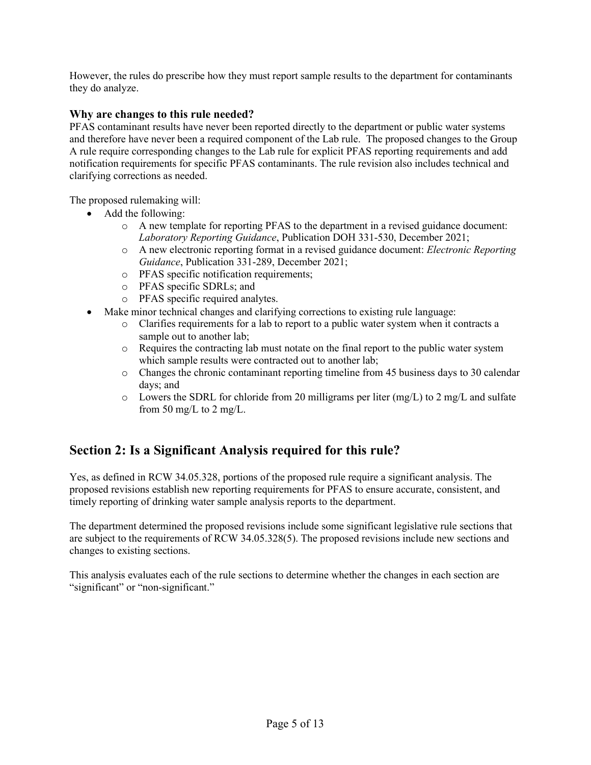However, the rules do prescribe how they must report sample results to the department for contaminants they do analyze.

### **Why are changes to this rule needed?**

PFAS contaminant results have never been reported directly to the department or public water systems and therefore have never been a required component of the Lab rule. The proposed changes to the Group A rule require corresponding changes to the Lab rule for explicit PFAS reporting requirements and add notification requirements for specific PFAS contaminants. The rule revision also includes technical and clarifying corrections as needed.

The proposed rulemaking will:

- Add the following:
	- o A new template for reporting PFAS to the department in a revised guidance document: *Laboratory Reporting Guidance*, Publication DOH 331-530, December 2021;
	- o A new electronic reporting format in a revised guidance document: *Electronic Reporting Guidance*, Publication 331-289, December 2021;
	- o PFAS specific notification requirements;
	- o PFAS specific SDRLs; and
	- o PFAS specific required analytes.
- Make minor technical changes and clarifying corrections to existing rule language:
	- o Clarifies requirements for a lab to report to a public water system when it contracts a sample out to another lab;
	- o Requires the contracting lab must notate on the final report to the public water system which sample results were contracted out to another lab;
	- o Changes the chronic contaminant reporting timeline from 45 business days to 30 calendar days; and
	- $\circ$  Lowers the SDRL for chloride from 20 milligrams per liter (mg/L) to 2 mg/L and sulfate from 50 mg/L to 2 mg/L.

# **Section 2: Is a Significant Analysis required for this rule?**

Yes, as defined in RCW 34.05.328, portions of the proposed rule require a significant analysis. The proposed revisions establish new reporting requirements for PFAS to ensure accurate, consistent, and timely reporting of drinking water sample analysis reports to the department.

The department determined the proposed revisions include some significant legislative rule sections that are subject to the requirements of RCW 34.05.328(5). The proposed revisions include new sections and changes to existing sections.

This analysis evaluates each of the rule sections to determine whether the changes in each section are "significant" or "non-significant."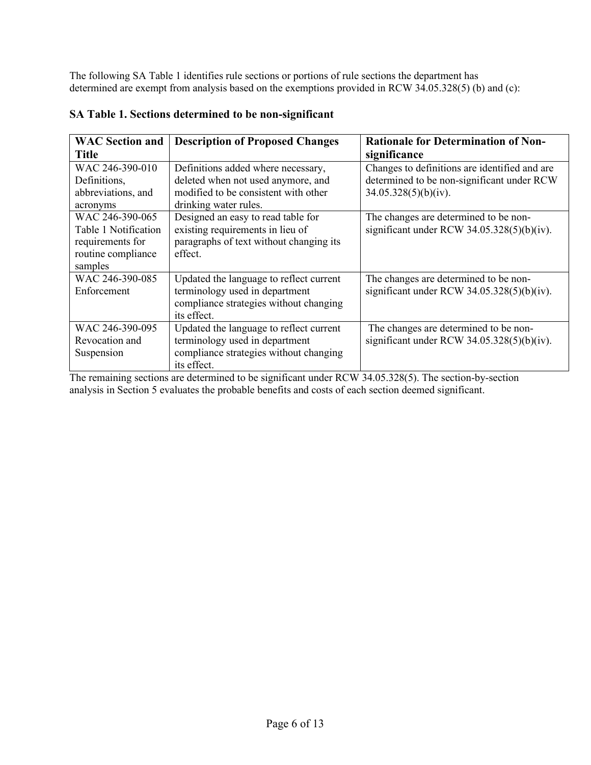The following SA Table 1 identifies rule sections or portions of rule sections the department has determined are exempt from analysis based on the exemptions provided in RCW 34.05.328(5) (b) and (c):

| <b>WAC Section and</b><br><b>Title</b>                                                       | <b>Description of Proposed Changes</b>                                                                                                    | <b>Rationale for Determination of Non-</b><br>significance                                                          |
|----------------------------------------------------------------------------------------------|-------------------------------------------------------------------------------------------------------------------------------------------|---------------------------------------------------------------------------------------------------------------------|
| WAC 246-390-010<br>Definitions,<br>abbreviations, and<br>acronyms                            | Definitions added where necessary,<br>deleted when not used anymore, and<br>modified to be consistent with other<br>drinking water rules. | Changes to definitions are identified and are<br>determined to be non-significant under RCW<br>34.05.328(5)(b)(iv). |
| WAC 246-390-065<br>Table 1 Notification<br>requirements for<br>routine compliance<br>samples | Designed an easy to read table for<br>existing requirements in lieu of<br>paragraphs of text without changing its<br>effect.              | The changes are determined to be non-<br>significant under RCW $34.05.328(5)(b)(iv)$ .                              |
| WAC 246-390-085<br>Enforcement                                                               | Updated the language to reflect current<br>terminology used in department<br>compliance strategies without changing<br>its effect.        | The changes are determined to be non-<br>significant under RCW $34.05.328(5)(b)(iv)$ .                              |
| WAC 246-390-095<br>Revocation and<br>Suspension                                              | Updated the language to reflect current<br>terminology used in department<br>compliance strategies without changing<br>its effect.        | The changes are determined to be non-<br>significant under RCW $34.05.328(5)(b)(iv)$ .                              |

## **SA Table 1. Sections determined to be non-significant**

The remaining sections are determined to be significant under RCW 34.05.328(5). The section-by-section analysis in Section 5 evaluates the probable benefits and costs of each section deemed significant.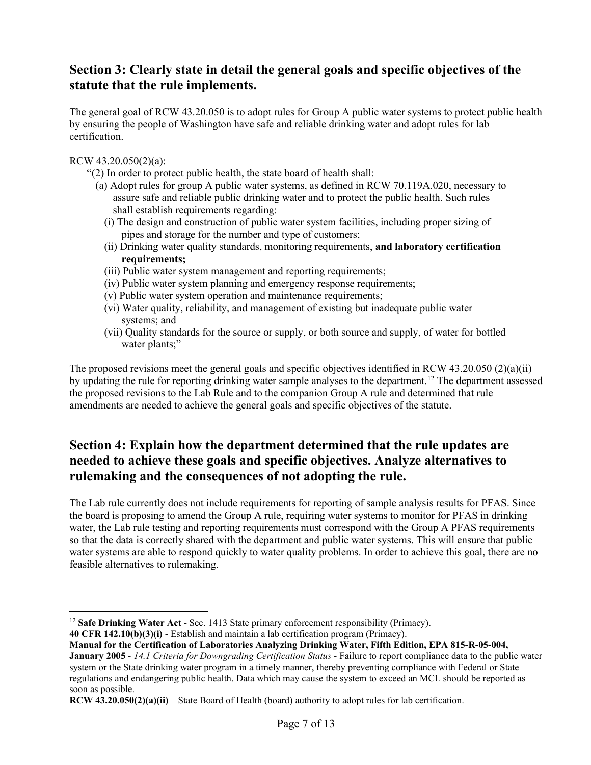## **Section 3: Clearly state in detail the general goals and specific objectives of the statute that the rule implements.**

The general goal of RCW 43.20.050 is to adopt rules for Group A public water systems to protect public health by ensuring the people of Washington have safe and reliable drinking water and adopt rules for lab certification.

RCW 43.20.050(2)(a):

- "(2) In order to protect public health, the state board of health shall:
	- (a) Adopt rules for group A public water systems, as defined in RCW 70.119A.020, necessary to assure safe and reliable public drinking water and to protect the public health. Such rules shall establish requirements regarding:
		- (i) The design and construction of public water system facilities, including proper sizing of pipes and storage for the number and type of customers;
		- (ii) Drinking water quality standards, monitoring requirements, **and laboratory certification requirements;**
		- (iii) Public water system management and reporting requirements;
		- (iv) Public water system planning and emergency response requirements;
		- (v) Public water system operation and maintenance requirements;
		- (vi) Water quality, reliability, and management of existing but inadequate public water systems; and
		- (vii) Quality standards for the source or supply, or both source and supply, of water for bottled water plants;"

The proposed revisions meet the general goals and specific objectives identified in RCW 43.20.050 (2)(a)(ii) by updating the rule for reporting drinking water sample analyses to the department.[12](#page-6-0) The department assessed the proposed revisions to the Lab Rule and to the companion Group A rule and determined that rule amendments are needed to achieve the general goals and specific objectives of the statute.

# **Section 4: Explain how the department determined that the rule updates are needed to achieve these goals and specific objectives. Analyze alternatives to rulemaking and the consequences of not adopting the rule.**

The Lab rule currently does not include requirements for reporting of sample analysis results for PFAS. Since the board is proposing to amend the Group A rule, requiring water systems to monitor for PFAS in drinking water, the Lab rule testing and reporting requirements must correspond with the Group A PFAS requirements so that the data is correctly shared with the department and public water systems. This will ensure that public water systems are able to respond quickly to water quality problems. In order to achieve this goal, there are no feasible alternatives to rulemaking.

<span id="page-6-0"></span><sup>&</sup>lt;sup>12</sup> Safe Drinking Water Act - Sec. 1413 State primary enforcement responsibility (Primacy).

**<sup>40</sup> CFR 142.10(b)(3)(i)** - Establish and maintain a lab certification program (Primacy).

**Manual for the Certification of Laboratories Analyzing Drinking Water, Fifth Edition, EPA 815-R-05-004,** 

**January 2005** - *14.1 Criteria for Downgrading Certification Status* - Failure to report compliance data to the public water system or the State drinking water program in a timely manner, thereby preventing compliance with Federal or State regulations and endangering public health. Data which may cause the system to exceed an MCL should be reported as soon as possible.

**RCW 43.20.050(2)(a)(ii)** – State Board of Health (board) authority to adopt rules for lab certification.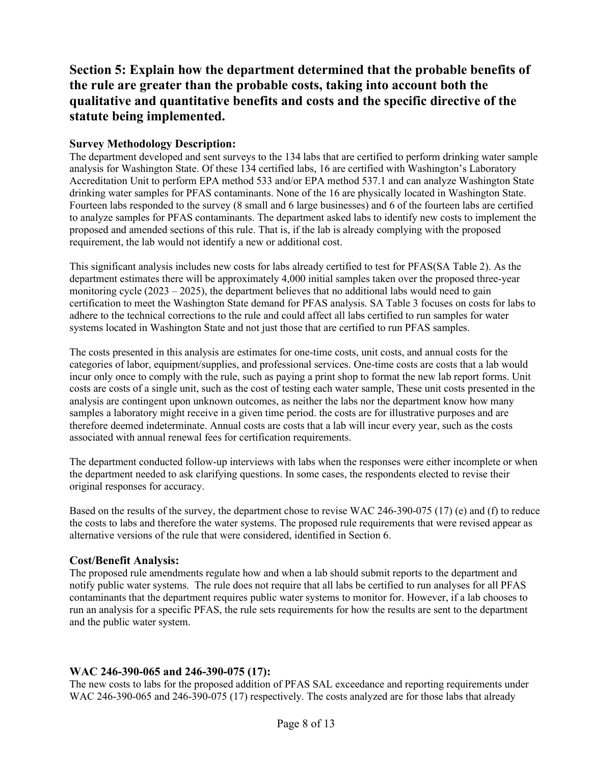# **Section 5: Explain how the department determined that the probable benefits of the rule are greater than the probable costs, taking into account both the qualitative and quantitative benefits and costs and the specific directive of the statute being implemented.**

## **Survey Methodology Description:**

The department developed and sent surveys to the 134 labs that are certified to perform drinking water sample analysis for Washington State. Of these 134 certified labs, 16 are certified with Washington's Laboratory Accreditation Unit to perform EPA method 533 and/or EPA method 537.1 and can analyze Washington State drinking water samples for PFAS contaminants. None of the 16 are physically located in Washington State. Fourteen labs responded to the survey (8 small and 6 large businesses) and 6 of the fourteen labs are certified to analyze samples for PFAS contaminants. The department asked labs to identify new costs to implement the proposed and amended sections of this rule. That is, if the lab is already complying with the proposed requirement, the lab would not identify a new or additional cost.

This significant analysis includes new costs for labs already certified to test for PFAS(SA Table 2). As the department estimates there will be approximately 4,000 initial samples taken over the proposed three-year monitoring cycle  $(2023 - 2025)$ , the department believes that no additional labs would need to gain certification to meet the Washington State demand for PFAS analysis. SA Table 3 focuses on costs for labs to adhere to the technical corrections to the rule and could affect all labs certified to run samples for water systems located in Washington State and not just those that are certified to run PFAS samples.

The costs presented in this analysis are estimates for one-time costs, unit costs, and annual costs for the categories of labor, equipment/supplies, and professional services. One-time costs are costs that a lab would incur only once to comply with the rule, such as paying a print shop to format the new lab report forms. Unit costs are costs of a single unit, such as the cost of testing each water sample, These unit costs presented in the analysis are contingent upon unknown outcomes, as neither the labs nor the department know how many samples a laboratory might receive in a given time period. the costs are for illustrative purposes and are therefore deemed indeterminate. Annual costs are costs that a lab will incur every year, such as the costs associated with annual renewal fees for certification requirements.

The department conducted follow-up interviews with labs when the responses were either incomplete or when the department needed to ask clarifying questions. In some cases, the respondents elected to revise their original responses for accuracy.

Based on the results of the survey, the department chose to revise WAC 246-390-075 (17) (e) and (f) to reduce the costs to labs and therefore the water systems. The proposed rule requirements that were revised appear as alternative versions of the rule that were considered, identified in Section 6.

#### **Cost/Benefit Analysis:**

The proposed rule amendments regulate how and when a lab should submit reports to the department and notify public water systems. The rule does not require that all labs be certified to run analyses for all PFAS contaminants that the department requires public water systems to monitor for. However, if a lab chooses to run an analysis for a specific PFAS, the rule sets requirements for how the results are sent to the department and the public water system.

## **WAC 246-390-065 and 246-390-075 (17):**

The new costs to labs for the proposed addition of PFAS SAL exceedance and reporting requirements under WAC 246-390-065 and 246-390-075 (17) respectively. The costs analyzed are for those labs that already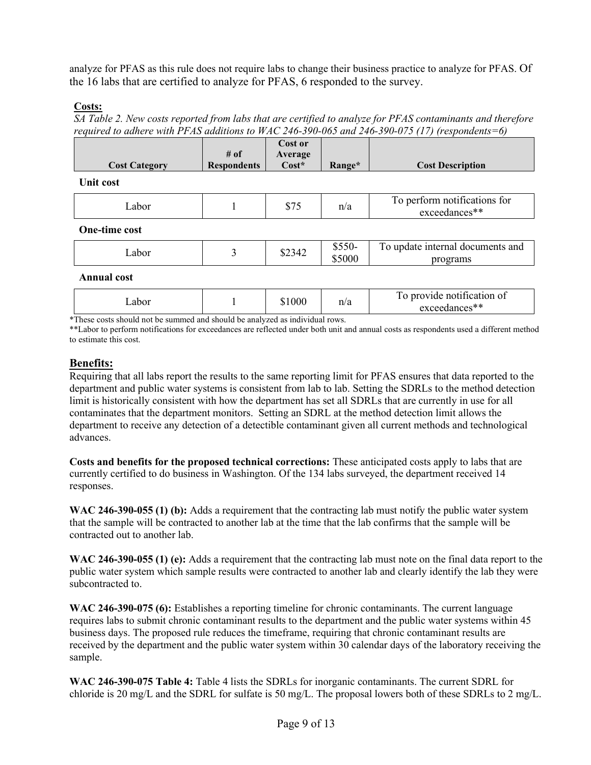analyze for PFAS as this rule does not require labs to change their business practice to analyze for PFAS. Of the 16 labs that are certified to analyze for PFAS, 6 responded to the survey.

#### **Costs:**

*SA Table 2. New costs reported from labs that are certified to analyze for PFAS contaminants and therefore required to adhere with PFAS additions to WAC 246-390-065 and 246-390-075 (17) (respondents=6)*

|                      |                    | Cost or |        |                         |
|----------------------|--------------------|---------|--------|-------------------------|
|                      | # of               | Average |        |                         |
| <b>Cost Category</b> | <b>Respondents</b> | Cost*   | Range* | <b>Cost Description</b> |
|                      |                    |         |        |                         |

**Unit cost**

| ahor | 0.75 | $\mathbf{r}$<br>II/ a | - 200<br>$  -$<br>tor<br>111N<br>$50$ $*$ |
|------|------|-----------------------|-------------------------------------------|
|      |      |                       | .                                         |

**One-time cost**

| abor<br>- | 34<br>ط+ر∠ہ | $\sim$ $\sim$ $\sim$<br>JJJU-<br>5000<br>m.<br>ے ل | $\overline{\phantom{a}}$<br>documents and<br>undate<br>internal<br>grams |
|-----------|-------------|----------------------------------------------------|--------------------------------------------------------------------------|
|-----------|-------------|----------------------------------------------------|--------------------------------------------------------------------------|

**Annual cost**

| Labor |  | 000 | n/a | $\cdot$<br>-<br>provide notification of<br>exceedances** |
|-------|--|-----|-----|----------------------------------------------------------|
|-------|--|-----|-----|----------------------------------------------------------|

\*These costs should not be summed and should be analyzed as individual rows.

\*\*Labor to perform notifications for exceedances are reflected under both unit and annual costs as respondents used a different method to estimate this cost.

## **Benefits:**

Requiring that all labs report the results to the same reporting limit for PFAS ensures that data reported to the department and public water systems is consistent from lab to lab. Setting the SDRLs to the method detection limit is historically consistent with how the department has set all SDRLs that are currently in use for all contaminates that the department monitors. Setting an SDRL at the method detection limit allows the department to receive any detection of a detectible contaminant given all current methods and technological advances.

**Costs and benefits for the proposed technical corrections:** These anticipated costs apply to labs that are currently certified to do business in Washington. Of the 134 labs surveyed, the department received 14 responses.

**WAC 246-390-055 (1) (b):** Adds a requirement that the contracting lab must notify the public water system that the sample will be contracted to another lab at the time that the lab confirms that the sample will be contracted out to another lab.

**WAC 246-390-055 (1) (e):** Adds a requirement that the contracting lab must note on the final data report to the public water system which sample results were contracted to another lab and clearly identify the lab they were subcontracted to.

**WAC 246-390-075 (6):** Establishes a reporting timeline for chronic contaminants. The current language requires labs to submit chronic contaminant results to the department and the public water systems within 45 business days. The proposed rule reduces the timeframe, requiring that chronic contaminant results are received by the department and the public water system within 30 calendar days of the laboratory receiving the sample.

**WAC 246-390-075 Table 4:** Table 4 lists the SDRLs for inorganic contaminants. The current SDRL for chloride is 20 mg/L and the SDRL for sulfate is 50 mg/L. The proposal lowers both of these SDRLs to 2 mg/L.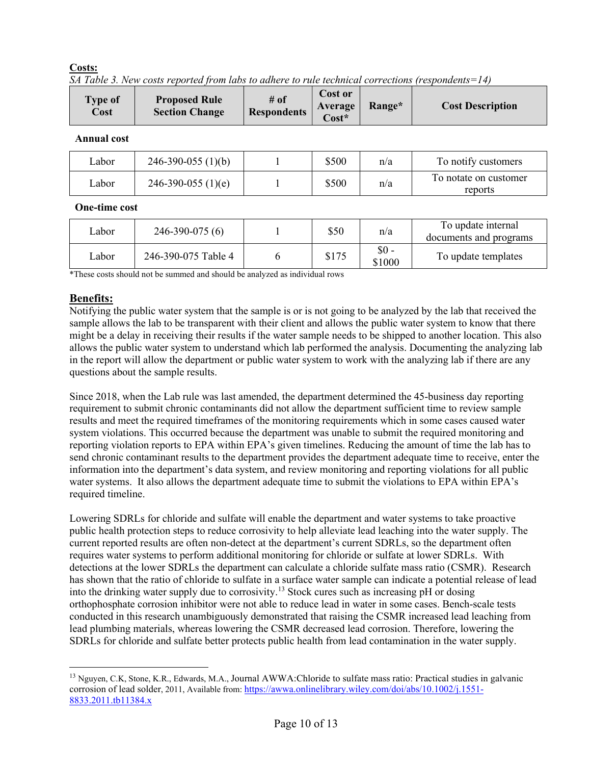#### **Costs:**

|  |  |  | SA Table 3. New costs reported from labs to adhere to rule technical corrections (respondents=14) |  |
|--|--|--|---------------------------------------------------------------------------------------------------|--|
|  |  |  |                                                                                                   |  |
|  |  |  |                                                                                                   |  |
|  |  |  |                                                                                                   |  |

| <b>Type of</b><br>Cost | <b>Proposed Rule</b><br><b>Section Change</b> | # of<br><b>Respondents</b> | Cost or<br>Average<br>$Cost*$ | Range* | <b>Cost Description</b>          |
|------------------------|-----------------------------------------------|----------------------------|-------------------------------|--------|----------------------------------|
| <b>Annual cost</b>     |                                               |                            |                               |        |                                  |
| Labor                  | $246-390-055(1)(b)$                           |                            | \$500                         | n/a    | To notify customers              |
| Labor                  | $246-390-055$ (1)(e)                          |                            | \$500                         | n/a    | To notate on customer<br>reports |

#### **One-time cost**

| Labor | $246 - 390 - 075(6)$ | \$50  | n/a             | To update internal<br>documents and programs |
|-------|----------------------|-------|-----------------|----------------------------------------------|
| Labor | 246-390-075 Table 4  | \$175 | \$0 -<br>\$1000 | To update templates                          |

\*These costs should not be summed and should be analyzed as individual rows

## **Benefits:**

Notifying the public water system that the sample is or is not going to be analyzed by the lab that received the sample allows the lab to be transparent with their client and allows the public water system to know that there might be a delay in receiving their results if the water sample needs to be shipped to another location. This also allows the public water system to understand which lab performed the analysis. Documenting the analyzing lab in the report will allow the department or public water system to work with the analyzing lab if there are any questions about the sample results.

Since 2018, when the Lab rule was last amended, the department determined the 45-business day reporting requirement to submit chronic contaminants did not allow the department sufficient time to review sample results and meet the required timeframes of the monitoring requirements which in some cases caused water system violations. This occurred because the department was unable to submit the required monitoring and reporting violation reports to EPA within EPA's given timelines. Reducing the amount of time the lab has to send chronic contaminant results to the department provides the department adequate time to receive, enter the information into the department's data system, and review monitoring and reporting violations for all public water systems. It also allows the department adequate time to submit the violations to EPA within EPA's required timeline.

Lowering SDRLs for chloride and sulfate will enable the department and water systems to take proactive public health protection steps to reduce corrosivity to help alleviate lead leaching into the water supply. The current reported results are often non-detect at the department's current SDRLs, so the department often requires water systems to perform additional monitoring for chloride or sulfate at lower SDRLs. With detections at the lower SDRLs the department can calculate a chloride sulfate mass ratio (CSMR). Research has shown that the ratio of chloride to sulfate in a surface water sample can indicate a potential release of lead into the drinking water supply due to corrosivity.[13](#page-9-0) Stock cures such as increasing pH or dosing orthophosphate corrosion inhibitor were not able to reduce lead in water in some cases. Bench-scale tests conducted in this research unambiguously demonstrated that raising the CSMR increased lead leaching from lead plumbing materials, whereas lowering the CSMR decreased lead corrosion. Therefore, lowering the SDRLs for chloride and sulfate better protects public health from lead contamination in the water supply.

<span id="page-9-0"></span><sup>&</sup>lt;sup>13</sup> Nguyen, C.K, Stone, K.R., Edwards, M.A., Journal AWWA:Chloride to sulfate mass ratio: Practical studies in galvanic corrosion of lead solder, 2011, Available from[: https://awwa.onlinelibrary.wiley.com/doi/abs/10.1002/j.1551-](https://awwa.onlinelibrary.wiley.com/doi/abs/10.1002/j.1551-8833.2011.tb11384.x) [8833.2011.tb11384.x](https://awwa.onlinelibrary.wiley.com/doi/abs/10.1002/j.1551-8833.2011.tb11384.x)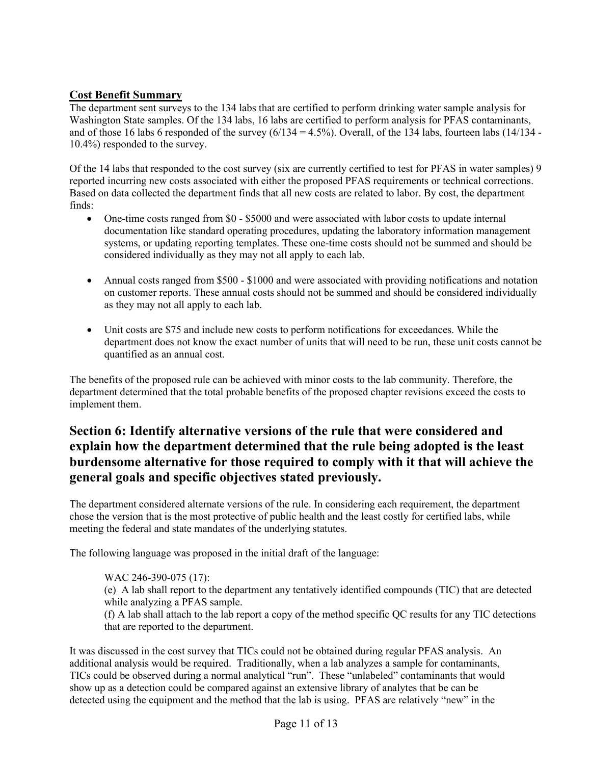## **Cost Benefit Summary**

The department sent surveys to the 134 labs that are certified to perform drinking water sample analysis for Washington State samples. Of the 134 labs, 16 labs are certified to perform analysis for PFAS contaminants, and of those 16 labs 6 responded of the survey  $(6/134 = 4.5\%)$ . Overall, of the 134 labs, fourteen labs (14/134 -10.4%) responded to the survey.

Of the 14 labs that responded to the cost survey (six are currently certified to test for PFAS in water samples) 9 reported incurring new costs associated with either the proposed PFAS requirements or technical corrections. Based on data collected the department finds that all new costs are related to labor. By cost, the department finds:

- One-time costs ranged from \$0 \$5000 and were associated with labor costs to update internal documentation like standard operating procedures, updating the laboratory information management systems, or updating reporting templates. These one-time costs should not be summed and should be considered individually as they may not all apply to each lab.
- Annual costs ranged from \$500 \$1000 and were associated with providing notifications and notation on customer reports. These annual costs should not be summed and should be considered individually as they may not all apply to each lab.
- Unit costs are \$75 and include new costs to perform notifications for exceedances. While the department does not know the exact number of units that will need to be run, these unit costs cannot be quantified as an annual cost.

The benefits of the proposed rule can be achieved with minor costs to the lab community. Therefore, the department determined that the total probable benefits of the proposed chapter revisions exceed the costs to implement them.

# **Section 6: Identify alternative versions of the rule that were considered and explain how the department determined that the rule being adopted is the least burdensome alternative for those required to comply with it that will achieve the general goals and specific objectives stated previously.**

The department considered alternate versions of the rule. In considering each requirement, the department chose the version that is the most protective of public health and the least costly for certified labs, while meeting the federal and state mandates of the underlying statutes.

The following language was proposed in the initial draft of the language:

WAC 246-390-075 (17):

(e) A lab shall report to the department any tentatively identified compounds (TIC) that are detected while analyzing a PFAS sample.

(f) A lab shall attach to the lab report a copy of the method specific QC results for any TIC detections that are reported to the department.

It was discussed in the cost survey that TICs could not be obtained during regular PFAS analysis. An additional analysis would be required. Traditionally, when a lab analyzes a sample for contaminants, TICs could be observed during a normal analytical "run". These "unlabeled" contaminants that would show up as a detection could be compared against an extensive library of analytes that be can be detected using the equipment and the method that the lab is using. PFAS are relatively "new" in the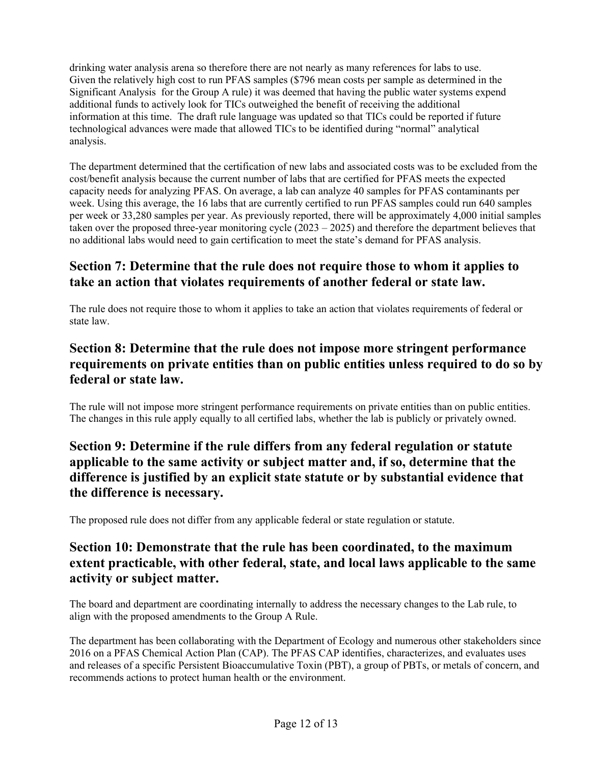drinking water analysis arena so therefore there are not nearly as many references for labs to use. Given the relatively high cost to run PFAS samples (\$796 mean costs per sample as determined in the Significant Analysis for the Group A rule) it was deemed that having the public water systems expend additional funds to actively look for TICs outweighed the benefit of receiving the additional information at this time. The draft rule language was updated so that TICs could be reported if future technological advances were made that allowed TICs to be identified during "normal" analytical analysis.

The department determined that the certification of new labs and associated costs was to be excluded from the cost/benefit analysis because the current number of labs that are certified for PFAS meets the expected capacity needs for analyzing PFAS. On average, a lab can analyze 40 samples for PFAS contaminants per week. Using this average, the 16 labs that are currently certified to run PFAS samples could run 640 samples per week or 33,280 samples per year. As previously reported, there will be approximately 4,000 initial samples taken over the proposed three-year monitoring cycle (2023 – 2025) and therefore the department believes that no additional labs would need to gain certification to meet the state's demand for PFAS analysis.

# **Section 7: Determine that the rule does not require those to whom it applies to take an action that violates requirements of another federal or state law.**

The rule does not require those to whom it applies to take an action that violates requirements of federal or state law.

# **Section 8: Determine that the rule does not impose more stringent performance requirements on private entities than on public entities unless required to do so by federal or state law.**

The rule will not impose more stringent performance requirements on private entities than on public entities. The changes in this rule apply equally to all certified labs, whether the lab is publicly or privately owned.

# **Section 9: Determine if the rule differs from any federal regulation or statute applicable to the same activity or subject matter and, if so, determine that the difference is justified by an explicit state statute or by substantial evidence that the difference is necessary.**

The proposed rule does not differ from any applicable federal or state regulation or statute.

# **Section 10: Demonstrate that the rule has been coordinated, to the maximum extent practicable, with other federal, state, and local laws applicable to the same activity or subject matter.**

The board and department are coordinating internally to address the necessary changes to the Lab rule, to align with the proposed amendments to the Group A Rule.

The department has been collaborating with the Department of Ecology and numerous other stakeholders since 2016 on a PFAS Chemical Action Plan (CAP). The PFAS CAP identifies, characterizes, and evaluates uses and releases of a specific Persistent Bioaccumulative Toxin (PBT), a group of PBTs, or metals of concern, and recommends actions to protect human health or the environment.